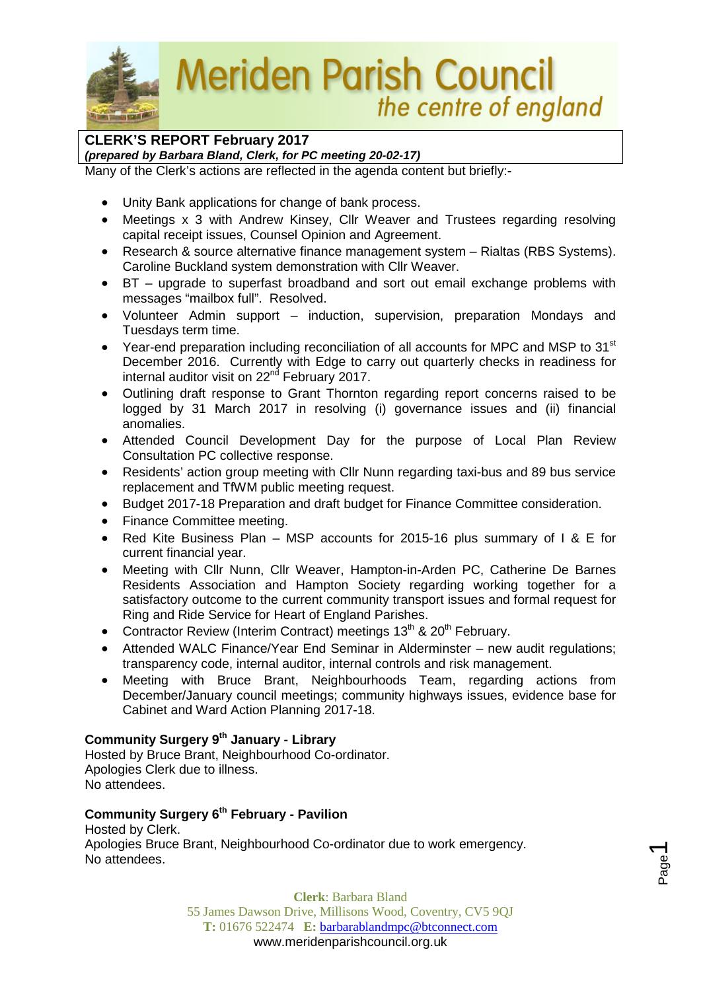

**Meriden Parish Council** the centre of england

## **CLERK'S REPORT February 2017**

*(prepared by Barbara Bland, Clerk, for PC meeting 20-02-17)*

Many of the Clerk's actions are reflected in the agenda content but briefly:-

- Unity Bank applications for change of bank process.
- Meetings x 3 with Andrew Kinsey, Cllr Weaver and Trustees regarding resolving capital receipt issues, Counsel Opinion and Agreement.
- Research & source alternative finance management system Rialtas (RBS Systems). Caroline Buckland system demonstration with Cllr Weaver.
- BT upgrade to superfast broadband and sort out email exchange problems with messages "mailbox full". Resolved.
- Volunteer Admin support induction, supervision, preparation Mondays and Tuesdays term time.
- Year-end preparation including reconciliation of all accounts for MPC and MSP to 31<sup>st</sup> December 2016. Currently with Edge to carry out quarterly checks in readiness for internal auditor visit on  $22<sup>nd</sup>$  February 2017.
- Outlining draft response to Grant Thornton regarding report concerns raised to be logged by 31 March 2017 in resolving (i) governance issues and (ii) financial anomalies.
- Attended Council Development Day for the purpose of Local Plan Review Consultation PC collective response.
- Residents' action group meeting with Cllr Nunn regarding taxi-bus and 89 bus service replacement and TfWM public meeting request.
- Budget 2017-18 Preparation and draft budget for Finance Committee consideration.
- Finance Committee meeting.
- Red Kite Business Plan MSP accounts for 2015-16 plus summary of I & E for current financial year.
- Meeting with Cllr Nunn, Cllr Weaver, Hampton-in-Arden PC, Catherine De Barnes Residents Association and Hampton Society regarding working together for a satisfactory outcome to the current community transport issues and formal request for Ring and Ride Service for Heart of England Parishes.
- Contractor Review (Interim Contract) meetings  $13<sup>th</sup>$  &  $20<sup>th</sup>$  February.
- Attended WALC Finance/Year End Seminar in Alderminster new audit regulations; transparency code, internal auditor, internal controls and risk management.
- Meeting with Bruce Brant, Neighbourhoods Team, regarding actions from December/January council meetings; community highways issues, evidence base for Cabinet and Ward Action Planning 2017-18.

## **Community Surgery 9th January - Library**

Hosted by Bruce Brant, Neighbourhood Co-ordinator. Apologies Clerk due to illness. No attendees.

## **Community Surgery 6th February - Pavilion**

Hosted by Clerk. Apologies Bruce Brant, Neighbourhood Co-ordinator due to work emergency. No attendees.

> **Clerk**: Barbara Bland 55 James Dawson Drive, Millisons Wood, Coventry, CV5 9QJ **T:** 01676 522474 **E:** [barbarablandmpc@btconnect.com](mailto:barbarablandmpc@btconnect.com) www.meridenparishcouncil.org.uk

Page  $\overline{\phantom{0}}$